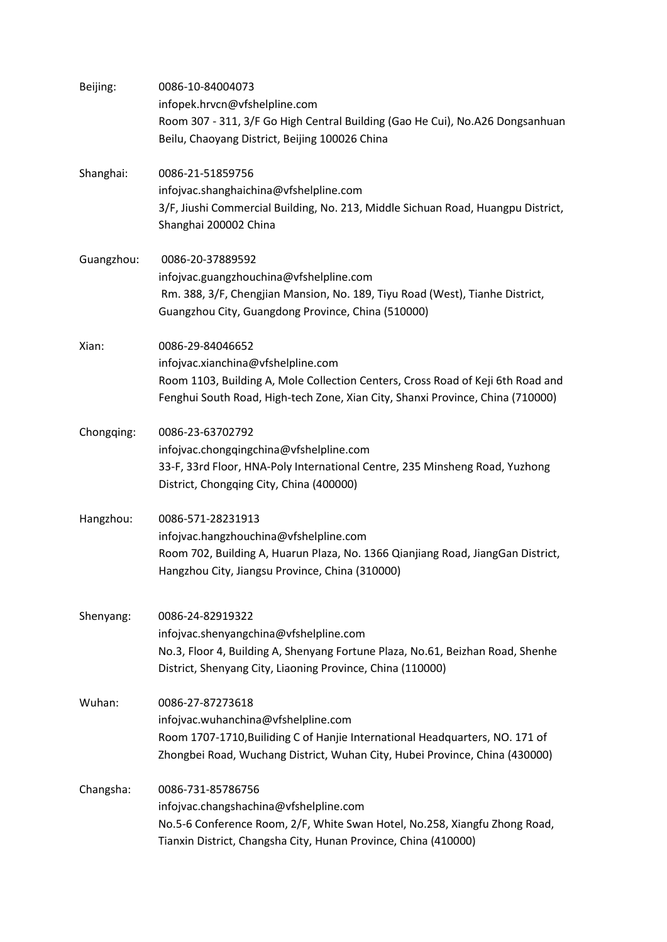| Beijing:   | 0086-10-84004073<br>infopek.hrvcn@vfshelpline.com<br>Room 307 - 311, 3/F Go High Central Building (Gao He Cui), No.A26 Dongsanhuan<br>Beilu, Chaoyang District, Beijing 100026 China                                        |
|------------|-----------------------------------------------------------------------------------------------------------------------------------------------------------------------------------------------------------------------------|
| Shanghai:  | 0086-21-51859756<br>infojvac.shanghaichina@vfshelpline.com<br>3/F, Jiushi Commercial Building, No. 213, Middle Sichuan Road, Huangpu District,<br>Shanghai 200002 China                                                     |
| Guangzhou: | 0086-20-37889592<br>infojvac.guangzhouchina@vfshelpline.com<br>Rm. 388, 3/F, Chengjian Mansion, No. 189, Tiyu Road (West), Tianhe District,<br>Guangzhou City, Guangdong Province, China (510000)                           |
| Xian:      | 0086-29-84046652<br>infojvac.xianchina@vfshelpline.com<br>Room 1103, Building A, Mole Collection Centers, Cross Road of Keji 6th Road and<br>Fenghui South Road, High-tech Zone, Xian City, Shanxi Province, China (710000) |
| Chongqing: | 0086-23-63702792<br>infojvac.chongqingchina@vfshelpline.com<br>33-F, 33rd Floor, HNA-Poly International Centre, 235 Minsheng Road, Yuzhong<br>District, Chongqing City, China (400000)                                      |
| Hangzhou:  | 0086-571-28231913<br>infojvac.hangzhouchina@vfshelpline.com<br>Room 702, Building A, Huarun Plaza, No. 1366 Qianjiang Road, JiangGan District,<br>Hangzhou City, Jiangsu Province, China (310000)                           |
| Shenyang:  | 0086-24-82919322<br>infojvac.shenyangchina@vfshelpline.com<br>No.3, Floor 4, Building A, Shenyang Fortune Plaza, No.61, Beizhan Road, Shenhe<br>District, Shenyang City, Liaoning Province, China (110000)                  |
| Wuhan:     | 0086-27-87273618<br>infojvac.wuhanchina@vfshelpline.com<br>Room 1707-1710, Builiding C of Hanjie International Headquarters, NO. 171 of<br>Zhongbei Road, Wuchang District, Wuhan City, Hubei Province, China (430000)      |
| Changsha:  | 0086-731-85786756<br>infojvac.changshachina@vfshelpline.com<br>No.5-6 Conference Room, 2/F, White Swan Hotel, No.258, Xiangfu Zhong Road,<br>Tianxin District, Changsha City, Hunan Province, China (410000)                |